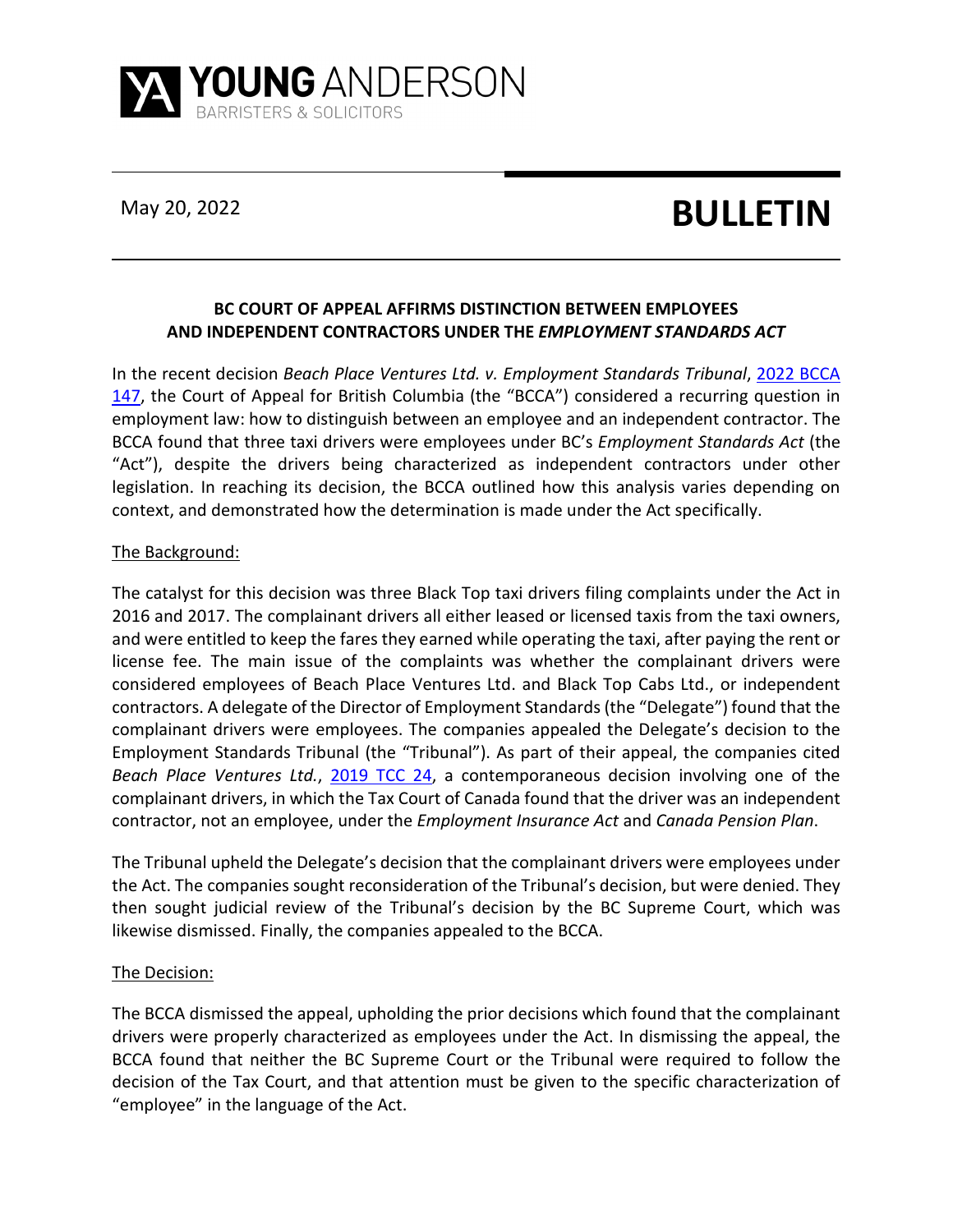

# May 20, 2022 **BULLETIN**

## **BC COURT OF APPEAL AFFIRMS DISTINCTION BETWEEN EMPLOYEES AND INDEPENDENT CONTRACTORS UNDER THE** *EMPLOYMENT STANDARDS ACT*

In the recent decision *Beach Place Ventures Ltd. v. Employment Standards Tribunal*, [2022 BCCA](https://www.canlii.org/en/bc/bcca/doc/2022/2022bcca147/2022bcca147.html?resultIndex=1)  [147,](https://www.canlii.org/en/bc/bcca/doc/2022/2022bcca147/2022bcca147.html?resultIndex=1) the Court of Appeal for British Columbia (the "BCCA") considered a recurring question in employment law: how to distinguish between an employee and an independent contractor. The BCCA found that three taxi drivers were employees under BC's *Employment Standards Act* (the "Act"), despite the drivers being characterized as independent contractors under other legislation. In reaching its decision, the BCCA outlined how this analysis varies depending on context, and demonstrated how the determination is made under the Act specifically.

### The Background:

The catalyst for this decision was three Black Top taxi drivers filing complaints under the Act in 2016 and 2017. The complainant drivers all either leased or licensed taxis from the taxi owners, and were entitled to keep the fares they earned while operating the taxi, after paying the rent or license fee. The main issue of the complaints was whether the complainant drivers were considered employees of Beach Place Ventures Ltd. and Black Top Cabs Ltd., or independent contractors. A delegate of the Director of Employment Standards (the "Delegate") found that the complainant drivers were employees. The companies appealed the Delegate's decision to the Employment Standards Tribunal (the "Tribunal"). As part of their appeal, the companies cited *Beach Place Ventures Ltd.*, [2019 TCC](https://www.canlii.org/en/ca/tcc/doc/2019/2019tcc24/2019tcc24.html) 24, a contemporaneous decision involving one of the complainant drivers, in which the Tax Court of Canada found that the driver was an independent contractor, not an employee, under the *Employment Insurance Act* and *Canada Pension Plan*.

The Tribunal upheld the Delegate's decision that the complainant drivers were employees under the Act. The companies sought reconsideration of the Tribunal's decision, but were denied. They then sought judicial review of the Tribunal's decision by the BC Supreme Court, which was likewise dismissed. Finally, the companies appealed to the BCCA.

#### The Decision:

The BCCA dismissed the appeal, upholding the prior decisions which found that the complainant drivers were properly characterized as employees under the Act. In dismissing the appeal, the BCCA found that neither the BC Supreme Court or the Tribunal were required to follow the decision of the Tax Court, and that attention must be given to the specific characterization of "employee" in the language of the Act.